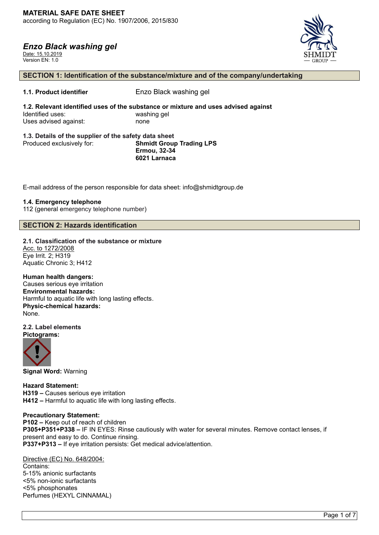Date: 15.10.2019 Version EN: 1.0



#### **SECTION 1: Identification of the substance/mixture and of the company/undertaking**

# **1.1. Product identifier** Enzo Black washing gel

**1.2. Relevant identified uses of the substance or mixture and uses advised against** Identified uses: washing gel Uses advised against: none

#### **1.3. Details of the supplier of the safety data sheet** Produced exclusively for: **Shmidt Group Trading LPS Ermou, 32-34 6021 Larnaca**

E-mail address of the person responsible for data sheet: info@shmidtgroup.de

#### **1.4. Emergency telephone**

112 (general emergency telephone number)

# **SECTION 2: Hazards identification**

# **2.1. Classification of the substance or mixture** Acc. to 1272/2008

Eye Irrit. 2; H319 Aquatic Chronic 3; H412

**Human health dangers:** Causes serious eye irritation **Environmental hazards:** Harmful to aquatic life with long lasting effects. **Physic-chemical hazards:** None.

**2.2. Label elements Pictograms:**



**Signal Word:** Warning

**Hazard Statement: H319 –** Causes serious eye irritation **H412 –** Harmful to aquatic life with long lasting effects.

#### **Precautionary Statement:**

**P102 –** Keep out of reach of children **P305+P351+P338 –** IF IN EYES: Rinse cautiously with water for several minutes. Remove contact lenses, if present and easy to do. Continue rinsing. **P337+P313 –** If eye irritation persists: Get medical advice/attention.

Directive (EC) No. 648/2004: Contains: 5-15% anionic surfactants <5% non-ionic surfactants <5% phosphonates Perfumes (HEXYL CINNAMAL)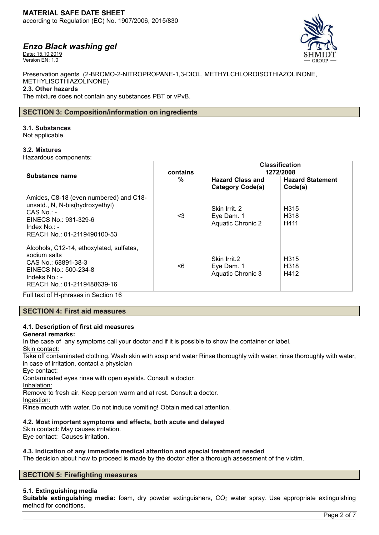Date: 15.10.2019 Version EN: 1.0



Preservation agents (2-BROMO-2-NITROPROPANE-1,3-DIOL, METHYLCHLOROISOTHIAZOLINONE, METHYLISOTHIAZOLINONE)

#### **2.3. Other hazards**

The mixture does not contain any substances PBT or vPvB.

# **SECTION 3: Composition/information on ingredients**

#### **3.1. Substances**

Not applicable.

#### **3.2. Mixtures**

Hazardous components:

| Substance name                                                                                                                                                                                                 | contains<br>$\frac{0}{0}$ | <b>Classification</b><br>1272/2008                      |                                               |
|----------------------------------------------------------------------------------------------------------------------------------------------------------------------------------------------------------------|---------------------------|---------------------------------------------------------|-----------------------------------------------|
|                                                                                                                                                                                                                |                           | <b>Hazard Class and</b><br><b>Category Code(s)</b>      | <b>Hazard Statement</b><br>Code(s)            |
| Amides, C8-18 (even numbered) and C18-<br>unsatd., N, N-bis(hydroxyethyl)<br>$CAS$ No.: -<br>EINECS No.: 931-329-6<br>Index $No. : -$<br>REACH No.: 01-2119490100-53                                           | <3                        | Skin Irrit. 2<br>Eye Dam. 1<br><b>Aquatic Chronic 2</b> | H <sub>315</sub><br>H <sub>3</sub> 18<br>H411 |
| Alcohols, C12-14, ethoxylated, sulfates,<br>sodium salts<br>CAS No.: 68891-38-3<br>EINECS No.: 500-234-8<br>Indeks No.: -<br>REACH No.: 01-2119488639-16<br>$\Gamma$ ul tayt af U shreaca in Cootion $4\Omega$ | <6                        | Skin Irrit.2<br>Eye Dam. 1<br>Aquatic Chronic 3         | H <sub>315</sub><br>H <sub>3</sub> 18<br>H412 |

Full text of H-phrases in Section 16

# **SECTION 4: First aid measures**

# **4.1. Description of first aid measures**

**General remarks:**

In the case of any symptoms call your doctor and if it is possible to show the container or label.

# Skin contact:

Take off contaminated clothing. Wash skin with soap and water Rinse thoroughly with water, rinse thoroughly with water, in case of irritation, contact a physician

Eye contact:

Contaminated eyes rinse with open eyelids. Consult a doctor.

Inhalation:

Remove to fresh air. Keep person warm and at rest. Consult a doctor.

Ingestion:

Rinse mouth with water. Do not induce vomiting! Obtain medical attention.

# **4.2. Most important symptoms and effects, both acute and delayed**

Skin contact: May causes irritation. Eye contact: Causes irritation.

# **4.3. Indication of any immediate medical attention and special treatment needed**

The decision about how to proceed is made by the doctor after a thorough assessment of the victim.

# **SECTION 5: Firefighting measures**

# **5.1. Extinguishing media**

**Suitable extinguishing media:** foam, dry powder extinguishers, CO<sub>2</sub>, water spray. Use appropriate extinguishing method for conditions.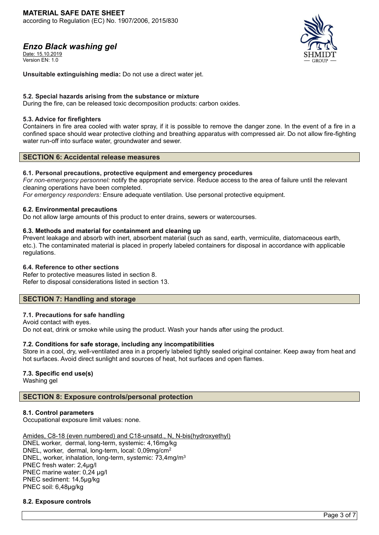Date: 15.10.2019 Version FN: 1.0



**Unsuitable extinguishing media:** Do not use a direct water jet.

#### **5.2. Special hazards arising from the substance or mixture**

During the fire, can be released toxic decomposition products: carbon oxides.

#### **5.3. Advice for firefighters**

Containers in fire area cooled with water spray, if it is possible to remove the danger zone. In the event of a fire in a confined space should wear protective clothing and breathing apparatus with compressed air. Do not allow fire-fighting water run-off into surface water, groundwater and sewer.

# **SECTION 6: Accidental release measures**

#### **6.1. Personal precautions, protective equipment and emergency procedures**

*For non-emergency personnel:* notify the appropriate service. Reduce access to the area of failure until the relevant cleaning operations have been completed.

*For emergency responders:* Ensure adequate ventilation. Use personal protective equipment.

#### **6.2. Environmental precautions**

Do not allow large amounts of this product to enter drains, sewers or watercourses.

#### **6.3. Methods and material for containment and cleaning up**

Prevent leakage and absorb with inert, absorbent material (such as sand, earth, vermiculite, diatomaceous earth, etc.). The contaminated material is placed in properly labeled containers for disposal in accordance with applicable regulations.

#### **6.4. Reference to other sections**

Refer to protective measures listed in section 8. Refer to disposal considerations listed in section 13.

# **SECTION 7: Handling and storage**

#### **7.1. Precautions for safe handling**

Avoid contact with eyes. Do not eat, drink or smoke while using the product. Wash your hands after using the product.

# **7.2. Conditions for safe storage, including any incompatibilities**

Store in a cool, dry, well-ventilated area in a properly labeled tightly sealed original container. Keep away from heat and hot surfaces. Avoid direct sunlight and sources of heat, hot surfaces and open flames.

# **7.3. Specific end use(s)**

Washing gel

# **SECTION 8: Exposure controls/personal protection**

# **8.1. Control parameters**

Occupational exposure limit values: none.

Amides, C8-18 (even numbered) and C18-unsatd., N, N-bis(hydroxyethyl) DNEL worker, dermal, long-term, systemic: 4,16mg/kg DNEL, worker, dermal, long-term, local: 0,09mg/cm<sup>2</sup> DNEL, worker, inhalation, long-term, systemic: 73,4mg/m<sup>3</sup> PNEC fresh water: 2,4µg/l PNEC marine water: 0,24 µg/l PNEC sediment: 14,5µg/kg PNEC soil: 6,48µg/kg

# **8.2. Exposure controls**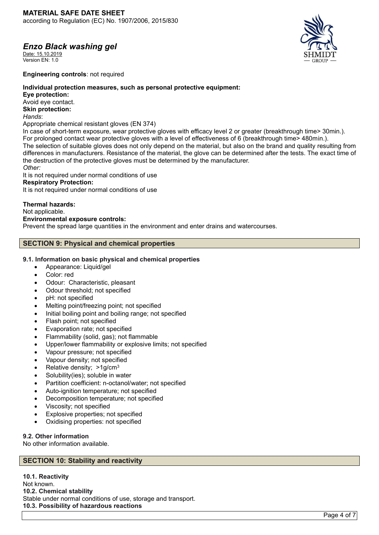Date: 15.10.2019 Version FN: 1.0



**Engineering controls**: not required

# **Individual protection measures, such as personal protective equipment:**

**Eye protection:**

Avoid eye contact.

# **Skin protection:**

*Hands*:

Appropriate chemical resistant gloves (EN 374)

In case of short-term exposure, wear protective gloves with efficacy level 2 or greater (breakthrough time> 30min.). For prolonged contact wear protective gloves with a level of effectiveness of 6 (breakthrough time> 480min.). The selection of suitable gloves does not only depend on the material, but also on the brand and quality resulting from differences in manufacturers. Resistance of the material, the glove can be determined after the tests. The exact time of the destruction of the protective gloves must be determined by the manufacturer.

#### *Other:*

It is not required under normal conditions of use

#### **Respiratory Protection:**

It is not required under normal conditions of use

# **Thermal hazards:**

Not applicable.

#### **Environmental exposure controls:**

Prevent the spread large quantities in the environment and enter drains and watercourses.

# **SECTION 9: Physical and chemical properties**

# **9.1. Information on basic physical and chemical properties**

- Appearance: Liquid/gel
- Color: red
- Odour: Characteristic, pleasant
- Odour threshold; not specified
- pH: not specified
- Melting point/freezing point; not specified
- Initial boiling point and boiling range; not specified
- Flash point; not specified
- Evaporation rate; not specified
- Flammability (solid, gas); not flammable
- Upper/lower flammability or explosive limits; not specified
- Vapour pressure; not specified
- Vapour density; not specified
- Relative density: >1g/cm<sup>3</sup>
- Solubility(ies); soluble in water
- Partition coefficient: n-octanol/water; not specified
- Auto-ignition temperature; not specified
- Decomposition temperature; not specified
- Viscosity; not specified
- Explosive properties; not specified
- Oxidising properties: not specified

# **9.2. Other information**

No other information available.

# **SECTION 10: Stability and reactivity**

**10.1. Reactivity** Not known. **10.2. Chemical stability** Stable under normal conditions of use, storage and transport. **10.3. Possibility of hazardous reactions**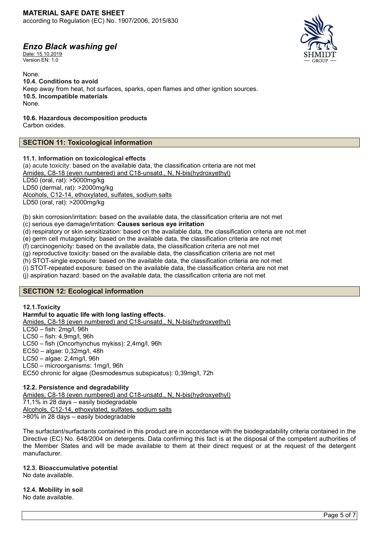Date: 15.10.2019 Version FN: 1.0

None. **10.4. Conditions to avoid** Keep away from heat, hot surfaces, sparks, open flames and other ignition sources. **10.5. Incompatible materials** None.

**10.6. Hazardous decomposition products**

Carbon oxides.

# **SECTION 11: Toxicological information**

# **11.1. Information on toxicological effects**

(a) acute toxicity: based on the available data, the classification criteria are not met Amides, C8-18 (even numbered) and C18-unsatd., N, N-bis(hydroxyethyl) LD50 (oral, rat): >5000mg/kg LD50 (dermal, rat): >2000mg/kg Alcohols, C12-14, ethoxylated, sulfates, sodium salts LD50 (oral, rat): >2000mg/kg

(b) skin corrosion/irritation: based on the available data, the classification criteria are not met (c) serious eye damage/irritation: **Causes serious eye irritation**

(d) respiratory or skin sensitization: based on the available data, the classification criteria are not met

(e) germ cell mutagenicity: based on the available data, the classification criteria are not met

(f) carcinogenicity: based on the available data, the classification criteria are not met

(g) reproductive toxicity: based on the available data, the classification criteria are not met

(h) STOT-single exposure: based on the available data, the classification criteria are not met

(i) STOT-repeated exposure: based on the available data, the classification criteria are not met

(j) aspiration hazard: based on the available data, the classification criteria are not met

# **SECTION 12: Ecological information**

**12.1.Toxicity**

**Harmful to aquatic life with long lasting effects.** Amides, C8-18 (even numbered) and C18-unsatd., N, N-bis(hydroxyethyl)

LC50 – fish: 2mg/l, 96h

LC50 – fish: 4,9mg/l, 96h LC50 – fish (Oncorhynchus mykiss): 2,4mg/l, 96h

EC50 – algae: 0,32mg/l, 48h

LC50 – algae: 2,4mg/l, 96h

LC50 – microorganisms: 1mg/l, 96h

EC50 chronic for algae (Desmodesmus subspicatus): 0,39mg/l, 72h

# **12.2. Persistence and degradability**

Amides, C8-18 (even numbered) and C18-unsatd., N, N-bis(hydroxyethyl)  $71,1\%$  in 28 days – easily biodegradable Alcohols, C12-14, ethoxylated, sulfates, sodium salts >80% in 28 days – easily biodegradable

The surfactant/surfactants contained in this product are in accordance with the biodegradability criteria contained in the Directive (EC) No. 648/2004 on detergents. Data confirming this fact is at the disposal of the competent authorities of the Member States and will be made available to them at their direct request or at the request of the detergent manufacturer.

# **12.3. Bioaccumulative potential**

No date available.

**12.4. Mobility in soil** No date available.

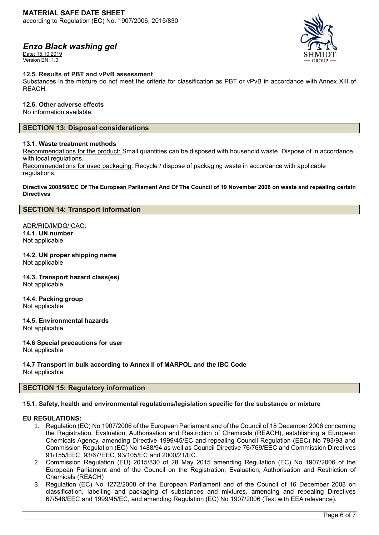Date: 15.10.2019 Version EN: 1.0



#### **12.5. Results of PBT and vPvB assessment**

Substances in the mixture do not meet the criteria for classification as PBT or vPvB in accordance with Annex XIII of REACH.

#### **12.6. Other adverse effects**

No information available.

#### **SECTION 13: Disposal considerations**

#### **13.1. Waste treatment methods**

Recommendations for the product: Small quantities can be disposed with household waste. Dispose of in accordance with local regulations.

Recommendations for used packaging: Recycle / dispose of packaging waste in accordance with applicable regulations.

#### **Directive 2008/98/EC Of The European Parliament And Of The Council of 19 November 2008 on waste and repealing certain Directives**

#### **SECTION 14: Transport information**

# ADR/RID/IMDG/ICAO: **14.1. UN number**

Not applicable

# **14.2. UN proper shipping name**

Not applicable

# **14.3. Transport hazard class(es)**

Not applicable

# **14.4. Packing group**

Not applicable

# **14.5. Environmental hazards**

Not applicable

#### **14.6 Special precautions for user**

Not applicable

# **14.7 Transport in bulk according to Annex II of MARPOL and the IBC Code**

Not applicable

# **SECTION 15: Regulatory information**

#### **15.1. Safety, health and environmental regulations/legislation specific for the substance or mixture**

# **EU REGULATIONS:**

- 1. Regulation (EC) No 1907/2006 of the European Parliament and of the Council of 18 December 2006 concerning the Registration, Evaluation, Authorisation and Restriction of Chemicals (REACH), establishing a European Chemicals Agency, amending Directive 1999/45/EC and repealing Council Regulation (EEC) No 793/93 and Commission Regulation (EC) No 1488/94 as well as Council Directive 76/769/EEC and Commission Directives 91/155/EEC, 93/67/EEC, 93/105/EC and 2000/21/EC.
- 2. Commission Regulation (EU) 2015/830 of 28 May 2015 amending Regulation (EC) No 1907/2006 of the European Parliament and of the Council on the Registration, Evaluation, Authorisation and Restriction of Chemicals (REACH)
- 3. Regulation (EC) No 1272/2008 of the European Parliament and of the Council of 16 December 2008 on classification, labelling and packaging of substances and mixtures, amending and repealing Directives 67/548/EEC and 1999/45/EC, and amending Regulation (EC) No 1907/2006 (Text with EEA relevance).